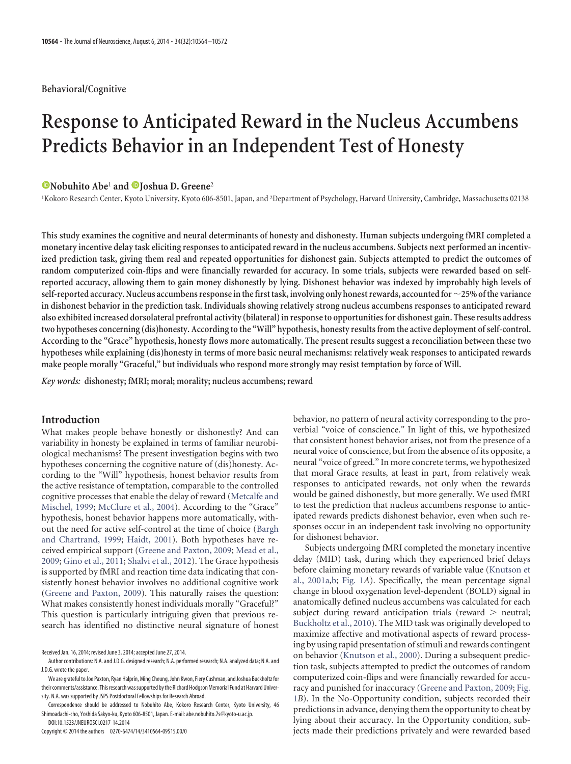## **Behavioral/Cognitive**

# **Response to Anticipated Reward in the Nucleus Accumbens Predicts Behavior in an Independent Test of Honesty**

# **X [Nobuhito Abe](http://orcid.org/0000-0002-9897-4414)**<sup>1</sup> **and X [Joshua D. Greene](http://orcid.org/0000-0002-3451-2966)**<sup>2</sup>

1 Kokoro Research Center, Kyoto University, Kyoto 606-8501, Japan, and <sup>2</sup> Department of Psychology, Harvard University, Cambridge, Massachusetts 02138

**This study examines the cognitive and neural determinants of honesty and dishonesty. Human subjects undergoing fMRI completed a monetary incentive delay task eliciting responses to anticipated reward in the nucleus accumbens. Subjects next performed an incentivized prediction task, giving them real and repeated opportunities for dishonest gain. Subjects attempted to predict the outcomes of random computerized coin-flips and were financially rewarded for accuracy. In some trials, subjects were rewarded based on selfreported accuracy, allowing them to gain money dishonestly by lying. Dishonest behavior was indexed by improbably high levels of self-reported accuracy. Nucleus accumbens response inthefirsttask, involving only honest rewards, accountedfor**-**25% ofthe variance in dishonest behavior in the prediction task. Individuals showing relatively strong nucleus accumbens responses to anticipated reward also exhibited increased dorsolateral prefrontal activity (bilateral) in response to opportunities for dishonest gain. These results address two hypotheses concerning (dis)honesty. According to the "Will" hypothesis, honesty results from the active deployment of self-control. According to the "Grace" hypothesis, honesty flows more automatically. The present results suggest a reconciliation between these two hypotheses while explaining (dis)honesty in terms of more basic neural mechanisms: relatively weak responses to anticipated rewards make people morally "Graceful," but individuals who respond more strongly may resist temptation by force of Will.**

*Key words:* **dishonesty; fMRI; moral; morality; nucleus accumbens; reward**

## **Introduction**

What makes people behave honestly or dishonestly? And can variability in honesty be explained in terms of familiar neurobiological mechanisms? The present investigation begins with two hypotheses concerning the cognitive nature of (dis)honesty. According to the "Will" hypothesis, honest behavior results from the active resistance of temptation, comparable to the controlled cognitive processes that enable the delay of reward [\(Metcalfe and](#page-8-0) [Mischel, 1999;](#page-8-0) [McClure et al., 2004\)](#page-7-0). According to the "Grace" hypothesis, honest behavior happens more automatically, without the need for active self-control at the time of choice [\(Bargh](#page-7-1) [and Chartrand, 1999;](#page-7-1) [Haidt, 2001\)](#page-7-2). Both hypotheses have received empirical support [\(Greene and Paxton, 2009;](#page-7-3) [Mead et al.,](#page-8-1) [2009;](#page-8-1) [Gino et al., 2011;](#page-7-4) [Shalvi et al., 2012\)](#page-8-2). The Grace hypothesis is supported by fMRI and reaction time data indicating that consistently honest behavior involves no additional cognitive work [\(Greene and Paxton, 2009\)](#page-7-3). This naturally raises the question: What makes consistently honest individuals morally "Graceful?" This question is particularly intriguing given that previous research has identified no distinctive neural signature of honest

Copyright © 2014 the authors 0270-6474/14/3410564-09\$15.00/0

behavior, no pattern of neural activity corresponding to the proverbial "voice of conscience." In light of this, we hypothesized that consistent honest behavior arises, not from the presence of a neural voice of conscience, but from the absence of its opposite, a neural "voice of greed." In more concrete terms, we hypothesized that moral Grace results, at least in part, from relatively weak responses to anticipated rewards, not only when the rewards would be gained dishonestly, but more generally. We used fMRI to test the prediction that nucleus accumbens response to anticipated rewards predicts dishonest behavior, even when such responses occur in an independent task involving no opportunity for dishonest behavior.

Subjects undergoing fMRI completed the monetary incentive delay (MID) task, during which they experienced brief delays before claiming monetary rewards of variable value [\(Knutson et](#page-7-5) [al., 2001a,](#page-7-5)[b;](#page-7-6) [Fig. 1](#page-1-0)*A*). Specifically, the mean percentage signal change in blood oxygenation level-dependent (BOLD) signal in anatomically defined nucleus accumbens was calculated for each subject during reward anticipation trials (reward  $>$  neutral; [Buckholtz et al., 2010\)](#page-7-7). The MID task was originally developed to maximize affective and motivational aspects of reward processing by using rapid presentation of stimuli and rewards contingent on behavior [\(Knutson et al., 2000\)](#page-7-8). During a subsequent prediction task, subjects attempted to predict the outcomes of random computerized coin-flips and were financially rewarded for accuracy and punished for inaccuracy [\(Greene and Paxton, 2009;](#page-7-3) [Fig.](#page-1-0) [1](#page-1-0)*B*). In the No-Opportunity condition, subjects recorded their predictions in advance, denying them the opportunity to cheat by lying about their accuracy. In the Opportunity condition, subjects made their predictions privately and were rewarded based

Received Jan. 16, 2014; revised June 3, 2014; accepted June 27, 2014.

Author contributions: N.A. and J.D.G. designed research; N.A. performed research; N.A. analyzed data; N.A. and J.D.G. wrote the paper.

We are grateful to Joe Paxton, Ryan Halprin, Ming Cheung, John Kwon, Fiery Cushman, and Joshua Buckholtz for their comments/assistance. This research was supported by the Richard Hodgson Memorial Fund at Harvard University. N.A. was supported by JSPS Postdoctoral Fellowships for Research Abroad.

Correspondence should be addressed to Nobuhito Abe, Kokoro Research Center, Kyoto University, 46 Shimoadachi-cho, Yoshida Sakyo-ku, Kyoto 606-8501, Japan. E-mail: abe.nobuhito.7s@kyoto-u.ac.jp. DOI:10.1523/JNEUROSCI.0217-14.2014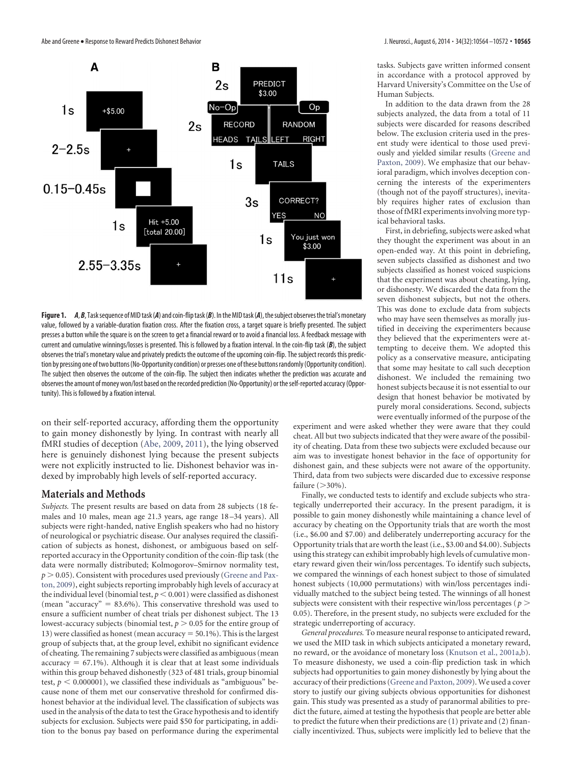

<span id="page-1-0"></span>**Figure 1.** *A*,*B*, Tasksequence ofMIDtask(*A*) and coin-fliptask(*B*). IntheMIDtask(*A*),thesubject observesthetrial'smonetary value, followed by a variable-duration fixation cross. After the fixation cross, a target square is briefly presented. The subject presses a button while the square is on the screen to get a financial reward or to avoid a financial loss. A feedback message with current and cumulative winnings/losses is presented. This is followed by a fixation interval. In the coin-flip task (*B*), the subject observes the trial's monetary value and privately predicts the outcome of the upcoming coin-flip. The subject records this prediction by pressing one oftwo buttons(No-Opportunity condition) or presses one ofthese buttonsrandomly(Opportunity condition). The subject then observes the outcome of the coin-flip. The subject then indicates whether the prediction was accurate and observes the amount of money won/lost based on the recorded prediction (No-Opportunity) or theself-reported accuracy (Opportunity). This is followed by a fixation interval.

on their self-reported accuracy, affording them the opportunity to gain money dishonestly by lying. In contrast with nearly all fMRI studies of deception [\(Abe, 2009,](#page-7-9) [2011\)](#page-7-10), the lying observed here is genuinely dishonest lying because the present subjects were not explicitly instructed to lie. Dishonest behavior was indexed by improbably high levels of self-reported accuracy.

# **Materials and Methods**

*Subjects.* The present results are based on data from 28 subjects (18 females and 10 males, mean age 21.3 years, age range 18 –34 years). All subjects were right-handed, native English speakers who had no history of neurological or psychiatric disease. Our analyses required the classification of subjects as honest, dishonest, or ambiguous based on selfreported accuracy in the Opportunity condition of the coin-flip task (the data were normally distributed; Kolmogorov–Smirnov normality test,  $p > 0.05$ ). Consistent with procedures used previously [\(Greene and Pax](#page-7-3)[ton, 2009\)](#page-7-3), eight subjects reporting improbably high levels of accuracy at the individual level (binomial test,  $p < 0.001$ ) were classified as dishonest (mean "accuracy"  $= 83.6\%$ ). This conservative threshold was used to ensure a sufficient number of cheat trials per dishonest subject. The 13 lowest-accuracy subjects (binomial test,  $p > 0.05$  for the entire group of 13) were classified as honest (mean accuracy  $= 50.1\%$ ). This is the largest group of subjects that, at the group level, exhibit no significant evidence of cheating. The remaining 7 subjects were classified as ambiguous (mean accuracy  $= 67.1\%$ ). Although it is clear that at least some individuals within this group behaved dishonestly (323 of 481 trials, group binomial test,  $p < 0.000001$ ), we classified these individuals as "ambiguous" because none of them met our conservative threshold for confirmed dishonest behavior at the individual level. The classification of subjects was used in the analysis of the data to test the Grace hypothesis and to identify subjects for exclusion. Subjects were paid \$50 for participating, in addition to the bonus pay based on performance during the experimental

tasks. Subjects gave written informed consent in accordance with a protocol approved by Harvard University's Committee on the Use of Human Subjects.

In addition to the data drawn from the 28 subjects analyzed, the data from a total of 11 subjects were discarded for reasons described below. The exclusion criteria used in the present study were identical to those used previously and yielded similar results [\(Greene and](#page-7-3) [Paxton, 2009\)](#page-7-3). We emphasize that our behavioral paradigm, which involves deception concerning the interests of the experimenters (though not of the payoff structures), inevitably requires higher rates of exclusion than those of fMRI experiments involving more typical behavioral tasks.

First, in debriefing, subjects were asked what they thought the experiment was about in an open-ended way. At this point in debriefing, seven subjects classified as dishonest and two subjects classified as honest voiced suspicions that the experiment was about cheating, lying, or dishonesty. We discarded the data from the seven dishonest subjects, but not the others. This was done to exclude data from subjects who may have seen themselves as morally justified in deceiving the experimenters because they believed that the experimenters were attempting to deceive them. We adopted this policy as a conservative measure, anticipating that some may hesitate to call such deception dishonest. We included the remaining two honest subjects because it is not essential to our design that honest behavior be motivated by purely moral considerations. Second, subjects were eventually informed of the purpose of the

experiment and were asked whether they were aware that they could cheat. All but two subjects indicated that they were aware of the possibility of cheating. Data from these two subjects were excluded because our aim was to investigate honest behavior in the face of opportunity for dishonest gain, and these subjects were not aware of the opportunity. Third, data from two subjects were discarded due to excessive response failure  $(>30\%)$ .

Finally, we conducted tests to identify and exclude subjects who strategically underreported their accuracy. In the present paradigm, it is possible to gain money dishonestly while maintaining a chance level of accuracy by cheating on the Opportunity trials that are worth the most (i.e., \$6.00 and \$7.00) and deliberately underreporting accuracy for the Opportunity trials that are worth the least (i.e., \$3.00 and \$4.00). Subjects using this strategy can exhibit improbably high levels of cumulative monetary reward given their win/loss percentages. To identify such subjects, we compared the winnings of each honest subject to those of simulated honest subjects (10,000 permutations) with win/loss percentages individually matched to the subject being tested. The winnings of all honest subjects were consistent with their respective win/loss percentages (*p* 0.05). Therefore, in the present study, no subjects were excluded for the strategic underreporting of accuracy.

*General procedures.* To measure neural response to anticipated reward, we used the MID task in which subjects anticipated a monetary reward, no reward, or the avoidance of monetary loss [\(Knutson et al., 2001a,](#page-7-5)[b\)](#page-7-6). To measure dishonesty, we used a coin-flip prediction task in which subjects had opportunities to gain money dishonestly by lying about the accuracy of their predictions [\(Greene and Paxton, 2009\)](#page-7-3).We used a cover story to justify our giving subjects obvious opportunities for dishonest gain. This study was presented as a study of paranormal abilities to predict the future, aimed at testing the hypothesis that people are better able to predict the future when their predictions are (1) private and (2) financially incentivized. Thus, subjects were implicitly led to believe that the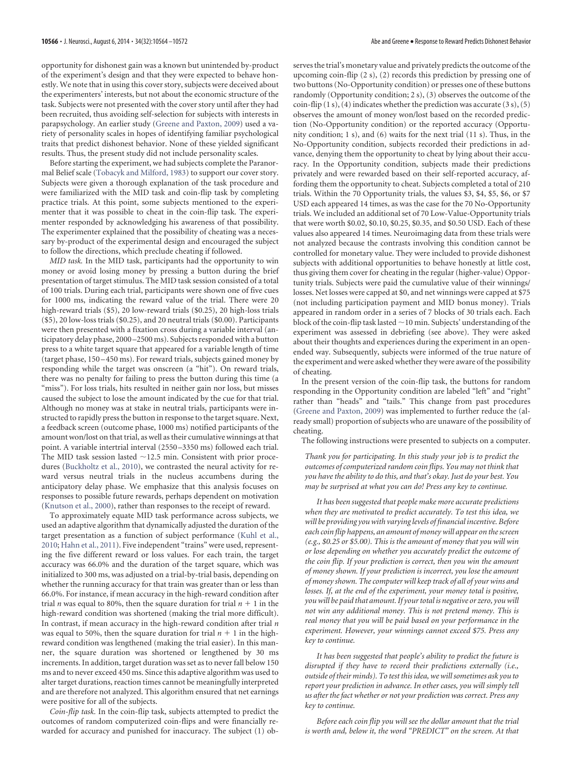opportunity for dishonest gain was a known but unintended by-product of the experiment's design and that they were expected to behave honestly. We note that in using this cover story, subjects were deceived about the experimenters' interests, but not about the economic structure of the task. Subjects were not presented with the cover story until after they had been recruited, thus avoiding self-selection for subjects with interests in parapsychology. An earlier study [\(Greene and Paxton, 2009\)](#page-7-3) used a variety of personality scales in hopes of identifying familiar psychological traits that predict dishonest behavior. None of these yielded significant results. Thus, the present study did not include personality scales.

Before starting the experiment, we had subjects complete the Paranormal Belief scale [\(Tobacyk and Milford, 1983\)](#page-8-3) to support our cover story. Subjects were given a thorough explanation of the task procedure and were familiarized with the MID task and coin-flip task by completing practice trials. At this point, some subjects mentioned to the experimenter that it was possible to cheat in the coin-flip task. The experimenter responded by acknowledging his awareness of that possibility. The experimenter explained that the possibility of cheating was a necessary by-product of the experimental design and encouraged the subject to follow the directions, which preclude cheating if followed.

*MID task.* In the MID task, participants had the opportunity to win money or avoid losing money by pressing a button during the brief presentation of target stimulus. The MID task session consisted of a total of 100 trials. During each trial, participants were shown one of five cues for 1000 ms, indicating the reward value of the trial. There were 20 high-reward trials (\$5), 20 low-reward trials (\$0.25), 20 high-loss trials (\$5), 20 low-loss trials (\$0.25), and 20 neutral trials (\$0.00). Participants were then presented with a fixation cross during a variable interval (anticipatory delay phase, 2000 –2500 ms). Subjects responded with a button press to a white target square that appeared for a variable length of time (target phase, 150 – 450 ms). For reward trials, subjects gained money by responding while the target was onscreen (a "hit"). On reward trials, there was no penalty for failing to press the button during this time (a "miss"). For loss trials, hits resulted in neither gain nor loss, but misses caused the subject to lose the amount indicated by the cue for that trial. Although no money was at stake in neutral trials, participants were instructed to rapidly press the button in response to the target square. Next, a feedback screen (outcome phase, 1000 ms) notified participants of the amount won/lost on that trial, as well as their cumulative winnings at that point. A variable intertrial interval (2550 –3350 ms) followed each trial. The MID task session lasted  $\sim$ 12.5 min. Consistent with prior procedures [\(Buckholtz et al., 2010\)](#page-7-7), we contrasted the neural activity for reward versus neutral trials in the nucleus accumbens during the anticipatory delay phase. We emphasize that this analysis focuses on responses to possible future rewards, perhaps dependent on motivation [\(Knutson et al., 2000\)](#page-7-8), rather than responses to the receipt of reward.

To approximately equate MID task performance across subjects, we used an adaptive algorithm that dynamically adjusted the duration of the target presentation as a function of subject performance [\(Kuhl et al.,](#page-7-11) [2010;](#page-7-11) [Hahn et al., 2011\)](#page-7-12). Five independent "trains" were used, representing the five different reward or loss values. For each train, the target accuracy was 66.0% and the duration of the target square, which was initialized to 300 ms, was adjusted on a trial-by-trial basis, depending on whether the running accuracy for that train was greater than or less than 66.0%. For instance, if mean accuracy in the high-reward condition after trial *n* was equal to 80%, then the square duration for trial  $n + 1$  in the high-reward condition was shortened (making the trial more difficult). In contrast, if mean accuracy in the high-reward condition after trial *n* was equal to 50%, then the square duration for trial  $n + 1$  in the highreward condition was lengthened (making the trial easier). In this manner, the square duration was shortened or lengthened by 30 ms increments. In addition, target duration was set as to never fall below 150 ms and to never exceed 450 ms. Since this adaptive algorithm was used to alter target durations, reaction times cannot be meaningfully interpreted and are therefore not analyzed. This algorithm ensured that net earnings were positive for all of the subjects.

*Coin-flip task.* In the coin-flip task, subjects attempted to predict the outcomes of random computerized coin-flips and were financially rewarded for accuracy and punished for inaccuracy. The subject (1) observes the trial's monetary value and privately predicts the outcome of the upcoming coin-flip (2 s), (2) records this prediction by pressing one of two buttons (No-Opportunity condition) or presses one of these buttons randomly (Opportunity condition; 2 s), (3) observes the outcome of the coin-flip (1 s), (4) indicates whether the prediction was accurate (3 s), (5) observes the amount of money won/lost based on the recorded prediction (No-Opportunity condition) or the reported accuracy (Opportunity condition; 1 s), and (6) waits for the next trial (11 s). Thus, in the No-Opportunity condition, subjects recorded their predictions in advance, denying them the opportunity to cheat by lying about their accuracy. In the Opportunity condition, subjects made their predictions privately and were rewarded based on their self-reported accuracy, affording them the opportunity to cheat. Subjects completed a total of 210 trials. Within the 70 Opportunity trials, the values \$3, \$4, \$5, \$6, or \$7 USD each appeared 14 times, as was the case for the 70 No-Opportunity trials. We included an additional set of 70 Low-Value-Opportunity trials that were worth \$0.02, \$0.10, \$0.25, \$0.35, and \$0.50 USD. Each of these values also appeared 14 times. Neuroimaging data from these trials were not analyzed because the contrasts involving this condition cannot be controlled for monetary value. They were included to provide dishonest subjects with additional opportunities to behave honestly at little cost, thus giving them cover for cheating in the regular (higher-value) Opportunity trials. Subjects were paid the cumulative value of their winnings/ losses. Net losses were capped at \$0, and net winnings were capped at \$75 (not including participation payment and MID bonus money). Trials appeared in random order in a series of 7 blocks of 30 trials each. Each block of the coin-flip task lasted  $\sim$  10 min. Subjects' understanding of the experiment was assessed in debriefing (see above). They were asked about their thoughts and experiences during the experiment in an openended way. Subsequently, subjects were informed of the true nature of the experiment and were asked whether they were aware of the possibility of cheating.

In the present version of the coin-flip task, the buttons for random responding in the Opportunity condition are labeled "left" and "right" rather than "heads" and "tails." This change from past procedures [\(Greene and Paxton, 2009\)](#page-7-3) was implemented to further reduce the (already small) proportion of subjects who are unaware of the possibility of cheating.

The following instructions were presented to subjects on a computer.

*Thank you for participating. In this study your job is to predict the outcomes of computerized random coin flips. You may not think that you have the ability to do this, and that's okay. Just do your best. You may be surprised at what you can do! Press any key to continue.*

*It has been suggested that people make more accurate predictions when they are motivated to predict accurately. To test this idea, we will be providing you with varying levels of financial incentive. Before each coin flip happens, an amount of money will appear on the screen (e.g., \$0.25 or \$5.00). This is the amount of money that you will win or lose depending on whether you accurately predict the outcome of the coin flip. If your prediction is correct, then you win the amount of money shown. If your prediction is incorrect, you lose the amount of money shown. The computer will keep track of all of your wins and losses. If, at the end of the experiment, your money total is positive, you will be paid that amount. If your total is negative or zero, you will not win any additional money. This is not pretend money. This is real money that you will be paid based on your performance in the experiment. However, your winnings cannot exceed \$75. Press any key to continue.*

*It has been suggested that people's ability to predict the future is disrupted if they have to record their predictions externally (i.e., outside of their minds). To test this idea, we will sometimes ask you to report your prediction in advance. In other cases, you will simply tell us after the fact whether or not your prediction was correct. Press any key to continue.*

*Before each coin flip you will see the dollar amount that the trial is worth and, below it, the word "PREDICT" on the screen. At that*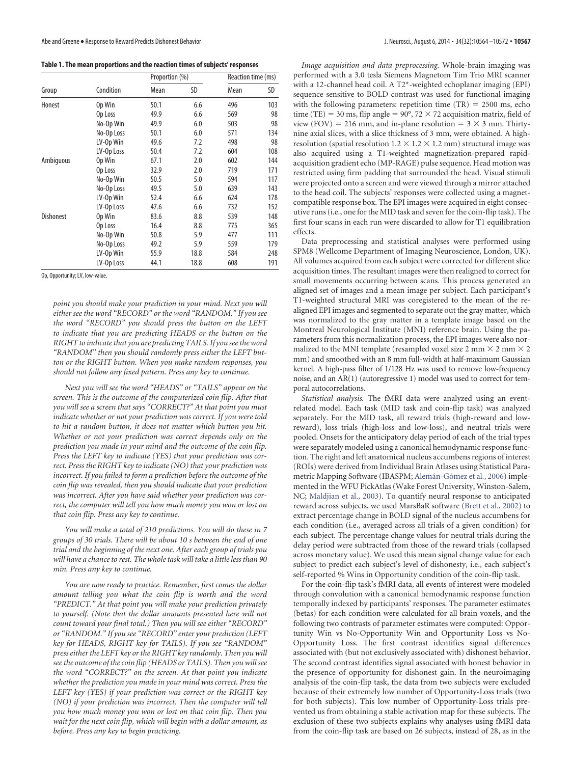<span id="page-3-0"></span>

|  |  |  | Table 1. The mean proportions and the reaction times of subjects' responses |
|--|--|--|-----------------------------------------------------------------------------|
|--|--|--|-----------------------------------------------------------------------------|

| Group            |            | Proportion (%) |      | Reaction time (ms) |     |
|------------------|------------|----------------|------|--------------------|-----|
|                  | Condition  | Mean           | SD   | Mean               | SD  |
| Honest           | Op Win     | 50.1           | 6.6  | 496                | 103 |
|                  | Op Loss    | 49.9           | 6.6  | 569                | 98  |
|                  | No-Op Win  | 49.9           | 6.0  | 503                | 98  |
|                  | No-Op Loss | 50.1           | 6.0  | 571                | 134 |
|                  | LV-Op Win  | 49.6           | 7.2  | 498                | 98  |
|                  | LV-Op Loss | 50.4           | 7.2  | 604                | 108 |
| Ambiguous        | Op Win     | 67.1           | 2.0  | 602                | 144 |
|                  | Op Loss    | 32.9           | 2.0  | 719                | 171 |
|                  | No-Op Win  | 50.5           | 5.0  | 594                | 117 |
|                  | No-Op Loss | 49.5           | 5.0  | 639                | 143 |
|                  | LV-Op Win  | 52.4           | 6.6  | 624                | 178 |
|                  | LV-Op Loss | 47.6           | 6.6  | 732                | 152 |
| <b>Dishonest</b> | Op Win     | 83.6           | 8.8  | 539                | 148 |
|                  | Op Loss    | 16.4           | 8.8  | 775                | 365 |
|                  | No-Op Win  | 50.8           | 5.9  | 477                | 111 |
|                  | No-Op Loss | 49.2           | 5.9  | 559                | 179 |
|                  | LV-Op Win  | 55.9           | 18.8 | 584                | 248 |
|                  | LV-Op Loss | 44.1           | 18.8 | 608                | 191 |

Op, Opportunity; LV, low-value.

*point you should make your prediction in your mind. Next you will either see the word "RECORD" or the word "RANDOM." If you see the word "RECORD" you should press the button on the LEFT to indicate that you are predicting HEADS or the button on the RIGHT to indicate that you are predicting TAILS. If you see the word "RANDOM" then you should randomly press either the LEFT button or the RIGHT button. When you make random responses, you should not follow any fixed pattern. Press any key to continue.*

*Next you will see the word "HEADS" or "TAILS" appear on the screen. This is the outcome of the computerized coin flip. After that you will see a screen that says "CORRECT?" At that point you must indicate whether or not your prediction was correct. If you were told to hit a random button, it does not matter which button you hit. Whether or not your prediction was correct depends only on the prediction you made in your mind and the outcome of the coin flip. Press the LEFT key to indicate (YES) that your prediction was correct. Press the RIGHT key to indicate (NO) that your prediction was incorrect. If you failed to form a prediction before the outcome of the coin flip was revealed, then you should indicate that your prediction was incorrect. After you have said whether your prediction was correct, the computer will tell you how much money you won or lost on that coin flip. Press any key to continue.*

*You will make a total of 210 predictions. You will do these in 7 groups of 30 trials. There will be about 10 s between the end of one trial and the beginning of the next one. After each group of trials you will have a chance to rest. The whole task will take a little less than 90 min. Press any key to continue.*

*You are now ready to practice. Remember, first comes the dollar amount telling you what the coin flip is worth and the word "PREDICT." At that point you will make your prediction privately to yourself. (Note that the dollar amounts presented here will not count toward your final total.) Then you will see either "RECORD" or "RANDOM." If you see "RECORD" enter your prediction (LEFT key for HEADS, RIGHT key for TAILS). If you see "RANDOM" press either the LEFT key or the RIGHT key randomly. Then you will see the outcome of the coin flip (HEADS or TAILS). Then you will see the word "CORRECT?" on the screen. At that point you indicate whether the prediction you made in your mind was correct. Press the LEFT key (YES) if your prediction was correct or the RIGHT key (NO) if your prediction was incorrect. Then the computer will tell you how much money you won or lost on that coin flip. Then you wait for the next coin flip, which will begin with a dollar amount, as before. Press any key to begin practicing.*

*Image acquisition and data preprocessing.* Whole-brain imaging was performed with a 3.0 tesla Siemens Magnetom Tim Trio MRI scanner with a 12-channel head coil. A T2\*-weighted echoplanar imaging (EPI) sequence sensitive to BOLD contrast was used for functional imaging with the following parameters: repetition time  $(TR) = 2500$  ms, echo time (TE) = 30 ms, flip angle =  $90^{\circ}$ , 72  $\times$  72 acquisition matrix, field of view (FOV) = 216 mm, and in-plane resolution =  $3 \times 3$  mm. Thirtynine axial slices, with a slice thickness of 3 mm, were obtained. A highresolution (spatial resolution  $1.2 \times 1.2 \times 1.2$  mm) structural image was also acquired using a T1-weighted magnetization-prepared rapidacquisition gradient echo (MP-RAGE) pulse sequence. Head motion was restricted using firm padding that surrounded the head. Visual stimuli were projected onto a screen and were viewed through a mirror attached to the head coil. The subjects' responses were collected using a magnetcompatible response box. The EPI images were acquired in eight consecutive runs (i.e., one for the MID task and seven for the coin-flip task). The first four scans in each run were discarded to allow for T1 equilibration effects.

Data preprocessing and statistical analyses were performed using SPM8 (Wellcome Department of Imaging Neuroscience, London, UK). All volumes acquired from each subject were corrected for different slice acquisition times. The resultant images were then realigned to correct for small movements occurring between scans. This process generated an aligned set of images and a mean image per subject. Each participant's T1-weighted structural MRI was coregistered to the mean of the realigned EPI images and segmented to separate out the gray matter, which was normalized to the gray matter in a template image based on the Montreal Neurological Institute (MNI) reference brain. Using the parameters from this normalization process, the EPI images were also normalized to the MNI template (resampled voxel size 2 mm  $\times$  2 mm  $\times$  2 mm) and smoothed with an 8 mm full-width at half-maximum Gaussian kernel. A high-pass filter of 1/128 Hz was used to remove low-frequency noise, and an AR(1) (autoregressive 1) model was used to correct for temporal autocorrelations.

*Statistical analysis.* The fMRI data were analyzed using an eventrelated model. Each task (MID task and coin-flip task) was analyzed separately. For the MID task, all reward trials (high-reward and lowreward), loss trials (high-loss and low-loss), and neutral trials were pooled. Onsets for the anticipatory delay period of each of the trial types were separately modeled using a canonical hemodynamic response function. The right and left anatomical nucleus accumbens regions of interest (ROIs) were derived from Individual Brain Atlases using Statistical Parametric Mapping Software (IBASPM; Alemán-Gómez et al., 2006) implemented in the WFU PickAtlas (Wake Forest University, Winston-Salem, NC; [Maldjian et al., 2003\)](#page-7-14). To quantify neural response to anticipated reward across subjects, we used MarsBaR software [\(Brett et al., 2002\)](#page-7-15) to extract percentage change in BOLD signal of the nucleus accumbens for each condition (i.e., averaged across all trials of a given condition) for each subject. The percentage change values for neutral trials during the delay period were subtracted from those of the reward trials (collapsed across monetary value). We used this mean signal change value for each subject to predict each subject's level of dishonesty, i.e., each subject's self-reported % Wins in Opportunity condition of the coin-flip task.

For the coin-flip task's fMRI data, all events of interest were modeled through convolution with a canonical hemodynamic response function temporally indexed by participants' responses. The parameter estimates (betas) for each condition were calculated for all brain voxels, and the following two contrasts of parameter estimates were computed: Opportunity Win vs No-Opportunity Win and Opportunity Loss vs No-Opportunity Loss. The first contrast identifies signal differences associated with (but not exclusively associated with) dishonest behavior. The second contrast identifies signal associated with honest behavior in the presence of opportunity for dishonest gain. In the neuroimaging analysis of the coin-flip task, the data from two subjects were excluded because of their extremely low number of Opportunity-Loss trials (two for both subjects). This low number of Opportunity-Loss trials prevented us from obtaining a stable activation map for these subjects. The exclusion of these two subjects explains why analyses using fMRI data from the coin-flip task are based on 26 subjects, instead of 28, as in the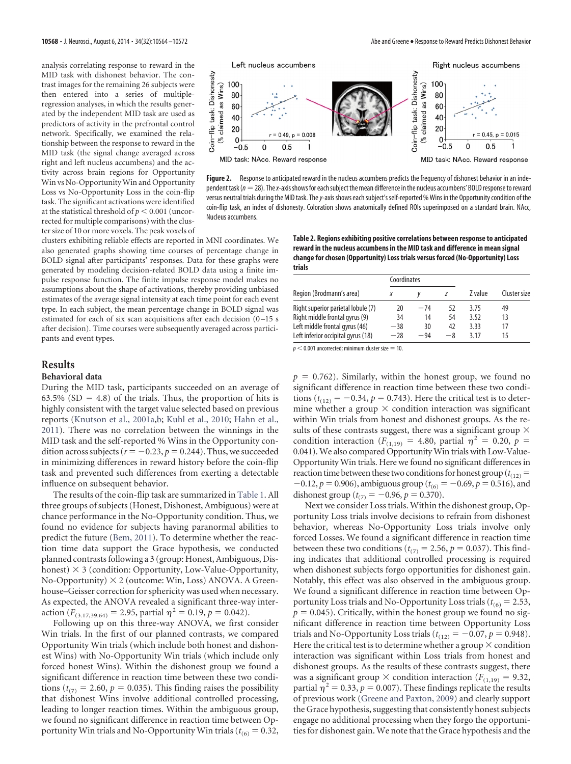analysis correlating response to reward in the MID task with dishonest behavior. The contrast images for the remaining 26 subjects were then entered into a series of multipleregression analyses, in which the results generated by the independent MID task are used as predictors of activity in the prefrontal control network. Specifically, we examined the relationship between the response to reward in the MID task (the signal change averaged across right and left nucleus accumbens) and the activity across brain regions for Opportunity Win vs No-Opportunity Win and Opportunity Loss vs No-Opportunity Loss in the coin-flip task. The significant activations were identified at the statistical threshold of  $p < 0.001$  (uncorrected for multiple comparisons) with the cluster size of 10 or more voxels. The peak voxels of



<span id="page-4-0"></span>**Figure 2.** Response to anticipated reward in the nucleus accumbens predicts the frequency of dishonest behavior in an independent task ( $n=28$ ). The *x*-axis shows for each subject the mean difference in the nucleus accumbens' BOLD response to reward versus neutral trials during the MID task. The*y*-axisshows eachsubject'sself-reported % Wins in the Opportunity condition of the coin-flip task, an index of dishonesty. Coloration shows anatomically defined ROIs superimposed on a standard brain. NAcc, Nucleus accumbens.

clusters exhibiting reliable effects are reported in MNI coordinates. We also generated graphs showing time courses of percentage change in BOLD signal after participants' responses. Data for these graphs were generated by modeling decision-related BOLD data using a finite impulse response function. The finite impulse response model makes no assumptions about the shape of activations, thereby providing unbiased estimates of the average signal intensity at each time point for each event type. In each subject, the mean percentage change in BOLD signal was estimated for each of six scan acquisitions after each decision (0-15 s after decision). Time courses were subsequently averaged across participants and event types.

## **Results**

#### **Behavioral data**

During the MID task, participants succeeded on an average of 63.5% (SD = 4.8) of the trials. Thus, the proportion of hits is highly consistent with the target value selected based on previous reports [\(Knutson et al., 2001a](#page-7-5)[,b;](#page-7-6) [Kuhl et al., 2010;](#page-7-11) [Hahn et al.,](#page-7-12) [2011\)](#page-7-12). There was no correlation between the winnings in the MID task and the self-reported % Wins in the Opportunity condition across subjects ( $r = -0.23$ ,  $p = 0.244$ ). Thus, we succeeded in minimizing differences in reward history before the coin-flip task and prevented such differences from exerting a detectable influence on subsequent behavior.

The results of the coin-flip task are summarized in [Table 1.](#page-3-0) All three groups of subjects (Honest, Dishonest, Ambiguous) were at chance performance in the No-Opportunity condition. Thus, we found no evidence for subjects having paranormal abilities to predict the future [\(Bem, 2011\)](#page-7-16). To determine whether the reaction time data support the Grace hypothesis, we conducted planned contrasts following a 3 (group: Honest, Ambiguous, Dishonest)  $\times$  3 (condition: Opportunity, Low-Value-Opportunity, No-Opportunity)  $\times$  2 (outcome: Win, Loss) ANOVA. A Greenhouse–Geisser correction for sphericity was used when necessary. As expected, the ANOVA revealed a significant three-way interaction ( $F_{(3.17,39.64)} = 2.95$ , partial  $\eta^2 = 0.19$ ,  $p = 0.042$ ).

Following up on this three-way ANOVA, we first consider Win trials. In the first of our planned contrasts, we compared Opportunity Win trials (which include both honest and dishonest Wins) with No-Opportunity Win trials (which include only forced honest Wins). Within the dishonest group we found a significant difference in reaction time between these two conditions ( $t_{(7)} = 2.60$ ,  $p = 0.035$ ). This finding raises the possibility that dishonest Wins involve additional controlled processing, leading to longer reaction times. Within the ambiguous group, we found no significant difference in reaction time between Opportunity Win trials and No-Opportunity Win trials ( $t_{(6)} = 0.32$ ,

<span id="page-4-1"></span>**Table 2. Regions exhibiting positive correlations between response to anticipated reward in the nucleus accumbens in the MID task and difference in mean signal change for chosen (Opportunity) Loss trials versus forced (No-Opportunity) Loss trials**

|                                    | Coordinates |       |      |         |              |
|------------------------------------|-------------|-------|------|---------|--------------|
| Region (Brodmann's area)           | X           |       |      | Z value | Cluster size |
| Right superior parietal lobule (7) | 20          | $-74$ | 52   | 3.75    | 49           |
| Right middle frontal gyrus (9)     | 34          | 14    | 54   | 3.52    | 13           |
| Left middle frontal gyrus (46)     | $-38$       | 30    | 42   | 3.33    | 17           |
| Left inferior occipital gyrus (18) | $-28$       | $-94$ | $-8$ | 3 17    | 15           |

 $p < 0.001$  uncorrected; minimum cluster size  $= 10$ .

 $p = 0.762$ ). Similarly, within the honest group, we found no significant difference in reaction time between these two conditions  $(t_{(12)} = -0.34, p = 0.743)$ . Here the critical test is to determine whether a group  $\times$  condition interaction was significant within Win trials from honest and dishonest groups. As the results of these contrasts suggest, there was a significant group  $\times$ condition interaction ( $F_{(1,19)}$  = 4.80, partial  $\eta^2 = 0.20$ ,  $p =$ 0.041). We also compared Opportunity Win trials with Low-Value-Opportunity Win trials. Here we found no significant differences in reaction time between these two conditions for honest group ( $t_{(12)}$  =  $-0.12$ ,  $p = 0.906$ ), ambiguous group ( $t_{(6)} = -0.69$ ,  $p = 0.516$ ), and dishonest group ( $t_{(7)} = -0.96$ ,  $p = 0.370$ ).

Next we consider Loss trials. Within the dishonest group, Opportunity Loss trials involve decisions to refrain from dishonest behavior, whereas No-Opportunity Loss trials involve only forced Losses. We found a significant difference in reaction time between these two conditions ( $t_{(7)} = 2.56$ ,  $p = 0.037$ ). This finding indicates that additional controlled processing is required when dishonest subjects forgo opportunities for dishonest gain. Notably, this effect was also observed in the ambiguous group. We found a significant difference in reaction time between Opportunity Loss trials and No-Opportunity Loss trials ( $t_{(6)} = 2.53$ ,  $p = 0.045$ ). Critically, within the honest group we found no significant difference in reaction time between Opportunity Loss trials and No-Opportunity Loss trials  $(t_{(12)} = -0.07, p = 0.948)$ . Here the critical test is to determine whether a group  $\times$  condition interaction was significant within Loss trials from honest and dishonest groups. As the results of these contrasts suggest, there was a significant group  $\times$  condition interaction ( $F_{(1,19)} = 9.32$ , partial  $\eta^2 = 0.33$ ,  $p = 0.007$ ). These findings replicate the results of previous work [\(Greene and Paxton, 2009\)](#page-7-3) and clearly support the Grace hypothesis, suggesting that consistently honest subjects engage no additional processing when they forgo the opportunities for dishonest gain. We note that the Grace hypothesis and the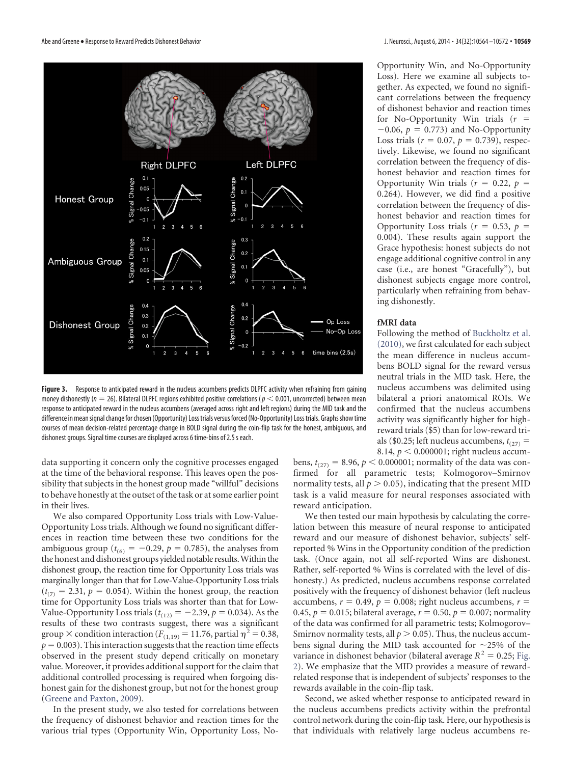

<span id="page-5-0"></span>**Figure 3.** Response to anticipated reward in the nucleus accumbens predicts DLPFC activity when refraining from gaining money dishonestly ( $n = 26$ ). Bilateral DLPFC regions exhibited positive correlations ( $p < 0.001$ , uncorrected) between mean response to anticipated reward in the nucleus accumbens (averaged across right and left regions) during the MID task and the difference in mean signal change for chosen (Opportunity) Loss trials versus forced (No-Opportunity) Loss trials. Graphs show time courses of mean decision-related percentage change in BOLD signal during the coin-flip task for the honest, ambiguous, and dishonest groups. Signal time courses are displayed across 6 time-bins of 2.5 s each.

data supporting it concern only the cognitive processes engaged at the time of the behavioral response. This leaves open the possibility that subjects in the honest group made "willful" decisions to behave honestly at the outset of the task or at some earlier point in their lives.

We also compared Opportunity Loss trials with Low-Value-Opportunity Loss trials. Although we found no significant differences in reaction time between these two conditions for the ambiguous group ( $t_{(6)} = -0.29$ ,  $p = 0.785$ ), the analyses from the honest and dishonest groups yielded notable results.Within the dishonest group, the reaction time for Opportunity Loss trials was marginally longer than that for Low-Value-Opportunity Loss trials  $(t_{(7)} = 2.31, p = 0.054)$ . Within the honest group, the reaction time for Opportunity Loss trials was shorter than that for Low-Value-Opportunity Loss trials  $(t_{(12)} = -2.39, p = 0.034)$ . As the results of these two contrasts suggest, there was a significant group  $\times$  condition interaction ( $F_{(1,19)} = 11.76$ , partial  $\eta^2 = 0.38$ ,  $p = 0.003$ ). This interaction suggests that the reaction time effects observed in the present study depend critically on monetary value. Moreover, it provides additional support for the claim that additional controlled processing is required when forgoing dishonest gain for the dishonest group, but not for the honest group [\(Greene and Paxton, 2009\)](#page-7-3).

In the present study, we also tested for correlations between the frequency of dishonest behavior and reaction times for the various trial types (Opportunity Win, Opportunity Loss, NoOpportunity Win, and No-Opportunity Loss). Here we examine all subjects together. As expected, we found no significant correlations between the frequency of dishonest behavior and reaction times for No-Opportunity Win trials (*r*  $-0.06$ ,  $p = 0.773$  and No-Opportunity Loss trials ( $r = 0.07$ ,  $p = 0.739$ ), respectively. Likewise, we found no significant correlation between the frequency of dishonest behavior and reaction times for Opportunity Win trials ( $r = 0.22$ ,  $p =$ 0.264). However, we did find a positive correlation between the frequency of dishonest behavior and reaction times for Opportunity Loss trials  $(r = 0.53, p =$ 0.004). These results again support the Grace hypothesis: honest subjects do not engage additional cognitive control in any case (i.e., are honest "Gracefully"), but dishonest subjects engage more control, particularly when refraining from behaving dishonestly.

### **fMRI data**

Following the method of [Buckholtz et al.](#page-7-7) [\(2010\),](#page-7-7) we first calculated for each subject the mean difference in nucleus accumbens BOLD signal for the reward versus neutral trials in the MID task. Here, the nucleus accumbens was delimited using bilateral a priori anatomical ROIs. We confirmed that the nucleus accumbens activity was significantly higher for highreward trials (\$5) than for low-reward trials (\$0.25; left nucleus accumbens,  $t_{(27)}$  = 8.14,  $p < 0.000001$ ; right nucleus accum-

bens,  $t_{(27)} = 8.96$ ,  $p < 0.000001$ ; normality of the data was confirmed for all parametric tests; Kolmogorov–Smirnov normality tests, all  $p > 0.05$ ), indicating that the present MID task is a valid measure for neural responses associated with reward anticipation.

We then tested our main hypothesis by calculating the correlation between this measure of neural response to anticipated reward and our measure of dishonest behavior, subjects' selfreported % Wins in the Opportunity condition of the prediction task. (Once again, not all self-reported Wins are dishonest. Rather, self-reported % Wins is correlated with the level of dishonesty.) As predicted, nucleus accumbens response correlated positively with the frequency of dishonest behavior (left nucleus accumbens,  $r = 0.49$ ,  $p = 0.008$ ; right nucleus accumbens,  $r =$ 0.45,  $p = 0.015$ ; bilateral average,  $r = 0.50$ ,  $p = 0.007$ ; normality of the data was confirmed for all parametric tests; Kolmogorov– Smirnov normality tests, all  $p > 0.05$ ). Thus, the nucleus accumbens signal during the MID task accounted for  $\sim$ 25% of the variance in dishonest behavior (bilateral average  $R^2 = 0.25$ ; [Fig.](#page-4-0) [2\)](#page-4-0). We emphasize that the MID provides a measure of rewardrelated response that is independent of subjects' responses to the rewards available in the coin-flip task.

Second, we asked whether response to anticipated reward in the nucleus accumbens predicts activity within the prefrontal control network during the coin-flip task. Here, our hypothesis is that individuals with relatively large nucleus accumbens re-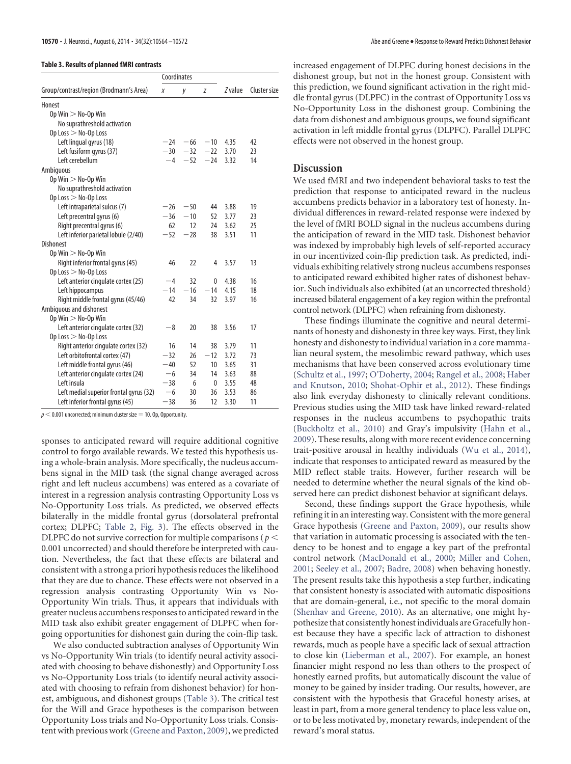#### <span id="page-6-0"></span>**Table 3. Results of planned fMRI contrasts**

|                                         | Coordinates |       |                 |         |              |
|-----------------------------------------|-------------|-------|-----------------|---------|--------------|
| Group/contrast/region (Brodmann's Area) | X           | у     | Z               | Z value | Cluster size |
| Honest                                  |             |       |                 |         |              |
| Op Win $>$ No-Op Win                    |             |       |                 |         |              |
| No suprathreshold activation            |             |       |                 |         |              |
| Op Loss > No-Op Loss                    |             |       |                 |         |              |
| Left lingual gyrus (18)                 | $-24$       | $-66$ | $-10$           | 4.35    | 42           |
| Left fusiform gyrus (37)                | $-30$       | $-32$ | $-22$           | 3.70    | 23           |
| Left cerebellum                         | $-4$        | $-52$ | $-24$           | 3.32    | 14           |
| Ambiguous                               |             |       |                 |         |              |
| Op Win $>$ No-Op Win                    |             |       |                 |         |              |
| No suprathreshold activation            |             |       |                 |         |              |
| Op Loss > No-Op Loss                    |             |       |                 |         |              |
| Left intraparietal sulcus (7)           | $-26$       | $-50$ | 44              | 3.88    | 19           |
| Left precentral gyrus (6)               | $-36$       | $-10$ | 52              | 3.77    | 23           |
| Right precentral gyrus (6)              | 62          | 12    | 24              | 3.62    | 25           |
| Left inferior parietal lobule (2/40)    | $-52$       | $-28$ | 38              | 3.51    | 11           |
| <b>Dishonest</b>                        |             |       |                 |         |              |
| Op Win $>$ No-Op Win                    |             |       |                 |         |              |
| Right inferior frontal gyrus (45)       | 46          | 22    | 4               | 3.57    | 13           |
| Op Loss > No-Op Loss                    |             |       |                 |         |              |
| Left anterior cingulate cortex (25)     | $-4$        | 32    | 0               | 4.38    | 16           |
| Left hippocampus                        | $-14$       | $-16$ | $-14$           | 4.15    | 18           |
| Right middle frontal gyrus (45/46)      | 42          | 34    | 32              | 3.97    | 16           |
| Ambiguous and dishonest                 |             |       |                 |         |              |
| Op Win $>$ No-Op Win                    |             |       |                 |         |              |
| Left anterior cingulate cortex (32)     | $-8$        | 20    | 38              | 3.56    | 17           |
| Op Loss > No-Op Loss                    |             |       |                 |         |              |
| Right anterior cingulate cortex (32)    | 16          | 14    | 38              | 3.79    | 11           |
| Left orbitofrontal cortex (47)          | $-32$       | 26    | $-12$           | 3.72    | 73           |
| Left middle frontal gyrus (46)          | $-40$       | 52    | 10 <sup>°</sup> | 3.65    | 31           |
| Left anterior cingulate cortex (24)     | $-6$        | 34    | 14              | 3.63    | 88           |
| Left insula                             | $-38$       | 6     | $\mathbf{0}$    | 3.55    | 48           |
| Left medial superior frontal gyrus (32) | $-6$        | 30    | 36              | 3.53    | 86           |
| Left inferior frontal gyrus (45)        | $-38$       | 36    | 12              | 3.30    | 11           |

 $p < 0.001$  uncorrected; minimum cluster size  $= 10.$  Op, Opportunity.

sponses to anticipated reward will require additional cognitive control to forgo available rewards. We tested this hypothesis using a whole-brain analysis. More specifically, the nucleus accumbens signal in the MID task (the signal change averaged across right and left nucleus accumbens) was entered as a covariate of interest in a regression analysis contrasting Opportunity Loss vs No-Opportunity Loss trials. As predicted, we observed effects bilaterally in the middle frontal gyrus (dorsolateral prefrontal cortex; DLPFC; [Table 2,](#page-4-1) [Fig. 3\)](#page-5-0). The effects observed in the DLPFC do not survive correction for multiple comparisons (*p* 0.001 uncorrected) and should therefore be interpreted with caution. Nevertheless, the fact that these effects are bilateral and consistent with a strong a priori hypothesis reduces the likelihood that they are due to chance. These effects were not observed in a regression analysis contrasting Opportunity Win vs No-Opportunity Win trials. Thus, it appears that individuals with greater nucleus accumbens responses to anticipated reward in the MID task also exhibit greater engagement of DLPFC when forgoing opportunities for dishonest gain during the coin-flip task.

We also conducted subtraction analyses of Opportunity Win vs No-Opportunity Win trials (to identify neural activity associated with choosing to behave dishonestly) and Opportunity Loss vs No-Opportunity Loss trials (to identify neural activity associated with choosing to refrain from dishonest behavior) for honest, ambiguous, and dishonest groups [\(Table 3\)](#page-6-0). The critical test for the Will and Grace hypotheses is the comparison between Opportunity Loss trials and No-Opportunity Loss trials. Consistent with previous work [\(Greene and Paxton, 2009\)](#page-7-3), we predicted increased engagement of DLPFC during honest decisions in the dishonest group, but not in the honest group. Consistent with this prediction, we found significant activation in the right middle frontal gyrus (DLPFC) in the contrast of Opportunity Loss vs No-Opportunity Loss in the dishonest group. Combining the data from dishonest and ambiguous groups, we found significant activation in left middle frontal gyrus (DLPFC). Parallel DLPFC effects were not observed in the honest group.

## **Discussion**

We used fMRI and two independent behavioral tasks to test the prediction that response to anticipated reward in the nucleus accumbens predicts behavior in a laboratory test of honesty. Individual differences in reward-related response were indexed by the level of fMRI BOLD signal in the nucleus accumbens during the anticipation of reward in the MID task. Dishonest behavior was indexed by improbably high levels of self-reported accuracy in our incentivized coin-flip prediction task. As predicted, individuals exhibiting relatively strong nucleus accumbens responses to anticipated reward exhibited higher rates of dishonest behavior. Such individuals also exhibited (at an uncorrected threshold) increased bilateral engagement of a key region within the prefrontal control network (DLPFC) when refraining from dishonesty.

These findings illuminate the cognitive and neural determinants of honesty and dishonesty in three key ways. First, they link honesty and dishonesty to individual variation in a core mammalian neural system, the mesolimbic reward pathway, which uses mechanisms that have been conserved across evolutionary time [\(Schultz et al., 1997;](#page-8-4) [O'Doherty, 2004;](#page-8-5) [Rangel et al., 2008;](#page-8-6) [Haber](#page-7-17) [and Knutson, 2010;](#page-7-17) [Shohat-Ophir et al., 2012\)](#page-8-7). These findings also link everyday dishonesty to clinically relevant conditions. Previous studies using the MID task have linked reward-related responses in the nucleus accumbens to psychopathic traits [\(Buckholtz et al., 2010\)](#page-7-7) and Gray's impulsivity [\(Hahn et al.,](#page-7-18) [2009\)](#page-7-18). These results, along with more recent evidence concerning trait-positive arousal in healthy individuals [\(Wu et al., 2014\)](#page-8-8), indicate that responses to anticipated reward as measured by the MID reflect stable traits. However, further research will be needed to determine whether the neural signals of the kind observed here can predict dishonest behavior at significant delays.

Second, these findings support the Grace hypothesis, while refining it in an interesting way. Consistent with the more general Grace hypothesis [\(Greene and Paxton, 2009\)](#page-7-3), our results show that variation in automatic processing is associated with the tendency to be honest and to engage a key part of the prefrontal control network [\(MacDonald et al., 2000;](#page-7-19) [Miller and Cohen,](#page-8-9) [2001;](#page-8-9) [Seeley et al., 2007;](#page-8-10) [Badre, 2008\)](#page-7-20) when behaving honestly. The present results take this hypothesis a step further, indicating that consistent honesty is associated with automatic dispositions that are domain-general, i.e., not specific to the moral domain [\(Shenhav and Greene, 2010\)](#page-8-11). As an alternative, one might hypothesize that consistently honest individuals are Gracefully honest because they have a specific lack of attraction to dishonest rewards, much as people have a specific lack of sexual attraction to close kin [\(Lieberman et al., 2007\)](#page-7-21). For example, an honest financier might respond no less than others to the prospect of honestly earned profits, but automatically discount the value of money to be gained by insider trading. Our results, however, are consistent with the hypothesis that Graceful honesty arises, at least in part, from a more general tendency to place less value on, or to be less motivated by, monetary rewards, independent of the reward's moral status.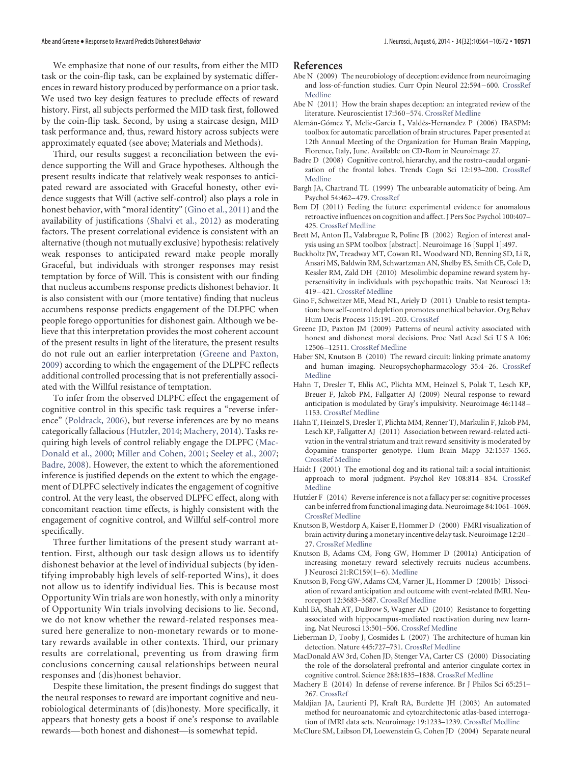We emphasize that none of our results, from either the MID task or the coin-flip task, can be explained by systematic differences in reward history produced by performance on a prior task. We used two key design features to preclude effects of reward history. First, all subjects performed the MID task first, followed by the coin-flip task. Second, by using a staircase design, MID task performance and, thus, reward history across subjects were approximately equated (see above; Materials and Methods).

Third, our results suggest a reconciliation between the evidence supporting the Will and Grace hypotheses. Although the present results indicate that relatively weak responses to anticipated reward are associated with Graceful honesty, other evidence suggests that Will (active self-control) also plays a role in honest behavior, with "moral identity" [\(Gino et al., 2011\)](#page-7-4) and the availability of justifications [\(Shalvi et al., 2012\)](#page-8-2) as moderating factors. The present correlational evidence is consistent with an alternative (though not mutually exclusive) hypothesis: relatively weak responses to anticipated reward make people morally Graceful, but individuals with stronger responses may resist temptation by force of Will. This is consistent with our finding that nucleus accumbens response predicts dishonest behavior. It is also consistent with our (more tentative) finding that nucleus accumbens response predicts engagement of the DLPFC when people forego opportunities for dishonest gain. Although we believe that this interpretation provides the most coherent account of the present results in light of the literature, the present results do not rule out an earlier interpretation [\(Greene and Paxton,](#page-7-3) [2009\)](#page-7-3) according to which the engagement of the DLPFC reflects additional controlled processing that is not preferentially associated with the Willful resistance of temptation.

To infer from the observed DLPFC effect the engagement of cognitive control in this specific task requires a "reverse inference" [\(Poldrack, 2006\)](#page-8-12), but reverse inferences are by no means categorically fallacious [\(Hutzler, 2014;](#page-7-22) [Machery, 2014\)](#page-7-23). Tasks requiring high levels of control reliably engage the DLPFC [\(Mac-](#page-7-19)[Donald et al., 2000;](#page-7-19) [Miller and Cohen, 2001;](#page-8-9) [Seeley et al., 2007;](#page-8-10) [Badre, 2008\)](#page-7-20). However, the extent to which the aforementioned inference is justified depends on the extent to which the engagement of DLPFC selectively indicates the engagement of cognitive control. At the very least, the observed DLPFC effect, along with concomitant reaction time effects, is highly consistent with the engagement of cognitive control, and Willful self-control more specifically.

Three further limitations of the present study warrant attention. First, although our task design allows us to identify dishonest behavior at the level of individual subjects (by identifying improbably high levels of self-reported Wins), it does not allow us to identify individual lies. This is because most Opportunity Win trials are won honestly, with only a minority of Opportunity Win trials involving decisions to lie. Second, we do not know whether the reward-related responses measured here generalize to non-monetary rewards or to monetary rewards available in other contexts. Third, our primary results are correlational, preventing us from drawing firm conclusions concerning causal relationships between neural responses and (dis)honest behavior.

Despite these limitation, the present findings do suggest that the neural responses to reward are important cognitive and neurobiological determinants of (dis)honesty. More specifically, it appears that honesty gets a boost if one's response to available rewards— both honest and dishonest—is somewhat tepid.

- <span id="page-7-9"></span>Abe N (2009) The neurobiology of deception: evidence from neuroimaging and loss-of-function studies. Curr Opin Neurol 22:594 –600. [CrossRef](http://dx.doi.org/10.1097/WCO.0b013e328332c3cf) [Medline](http://www.ncbi.nlm.nih.gov/pubmed/19786872)
- <span id="page-7-10"></span>Abe N (2011) How the brain shapes deception: an integrated review of the literature. Neuroscientist 17:560 –574. [CrossRef](http://dx.doi.org/10.1177/1073858410393359) [Medline](http://www.ncbi.nlm.nih.gov/pubmed/21454323)
- <span id="page-7-13"></span>Alemán-Gómez Y, Melie-García L, Valdés-Hernandez P (2006) IBASPM: toolbox for automatic parcellation of brain structures. Paper presented at 12th Annual Meeting of the Organization for Human Brain Mapping, Florence, Italy, June. Available on CD-Rom in Neuroimage 27.
- <span id="page-7-20"></span>Badre D (2008) Cognitive control, hierarchy, and the rostro-caudal organization of the frontal lobes. Trends Cogn Sci 12:193–200. [CrossRef](http://dx.doi.org/10.1016/j.tics.2008.02.004) [Medline](http://www.ncbi.nlm.nih.gov/pubmed/18403252)
- <span id="page-7-1"></span>Bargh JA, Chartrand TL (1999) The unbearable automaticity of being. Am Psychol 54:462–479. [CrossRef](http://dx.doi.org/10.1037/0003-066X.54.7.462)
- <span id="page-7-16"></span>Bem DJ (2011) Feeling the future: experimental evidence for anomalous retroactive influences on cognition and affect. J Pers Soc Psychol 100:407– 425. [CrossRef](http://dx.doi.org/10.1037/a0021524) [Medline](http://www.ncbi.nlm.nih.gov/pubmed/21280961)
- <span id="page-7-15"></span>Brett M, Anton JL, Valabregue R, Poline JB (2002) Region of interest analysis using an SPM toolbox [abstract]. Neuroimage 16 [Suppl 1]:497.
- <span id="page-7-7"></span>Buckholtz JW, Treadway MT, Cowan RL, Woodward ND, Benning SD, Li R, Ansari MS, Baldwin RM, Schwartzman AN, Shelby ES, Smith CE, Cole D, Kessler RM, Zald DH (2010) Mesolimbic dopamine reward system hypersensitivity in individuals with psychopathic traits. Nat Neurosci 13: 419 –421. [CrossRef](http://dx.doi.org/10.1038/nn.2510) [Medline](http://www.ncbi.nlm.nih.gov/pubmed/20228805)
- <span id="page-7-4"></span>Gino F, Schweitzer ME, Mead NL, Ariely D (2011) Unable to resist temptation: how self-control depletion promotes unethical behavior. Org Behav Hum Decis Process 115:191–203. [CrossRef](http://dx.doi.org/10.1016/j.obhdp.2011.03.001)
- <span id="page-7-3"></span>Greene JD, Paxton JM (2009) Patterns of neural activity associated with honest and dishonest moral decisions. Proc Natl Acad Sci U S A 106: 12506 –12511. [CrossRef](http://dx.doi.org/10.1073/pnas.0900152106) [Medline](http://www.ncbi.nlm.nih.gov/pubmed/19622733)
- <span id="page-7-17"></span>Haber SN, Knutson B (2010) The reward circuit: linking primate anatomy and human imaging. Neuropsychopharmacology 35:4 –26. [CrossRef](http://dx.doi.org/10.1038/npp.2009.129) [Medline](http://www.ncbi.nlm.nih.gov/pubmed/19812543)
- <span id="page-7-18"></span>Hahn T, Dresler T, Ehlis AC, Plichta MM, Heinzel S, Polak T, Lesch KP, Breuer F, Jakob PM, Fallgatter AJ (2009) Neural response to reward anticipation is modulated by Gray's impulsivity. Neuroimage 46:1148 – 1153. [CrossRef](http://dx.doi.org/10.1016/j.neuroimage.2009.03.038) [Medline](http://www.ncbi.nlm.nih.gov/pubmed/19328237)
- <span id="page-7-12"></span>Hahn T, Heinzel S, Dresler T, Plichta MM, Renner TJ, Markulin F, Jakob PM, Lesch KP, Fallgatter AJ (2011) Association between reward-related activation in the ventral striatum and trait reward sensitivity is moderated by dopamine transporter genotype. Hum Brain Mapp 32:1557–1565. [CrossRef](http://dx.doi.org/10.1002/hbm.21127) [Medline](http://www.ncbi.nlm.nih.gov/pubmed/20845394)
- <span id="page-7-2"></span>Haidt J (2001) The emotional dog and its rational tail: a social intuitionist approach to moral judgment. Psychol Rev 108:814 –834. [CrossRef](http://dx.doi.org/10.1037/0033-295X.108.4.814) [Medline](http://www.ncbi.nlm.nih.gov/pubmed/11699120)
- <span id="page-7-22"></span>Hutzler F (2014) Reverse inference is not a fallacy per se: cognitive processes can be inferred from functional imaging data. Neuroimage 84:1061–1069. [CrossRef](http://dx.doi.org/10.1016/j.neuroimage.2012.12.075) [Medline](http://www.ncbi.nlm.nih.gov/pubmed/23313571)
- <span id="page-7-8"></span>Knutson B, Westdorp A, Kaiser E, Hommer D (2000) FMRI visualization of brain activity during a monetary incentive delay task. Neuroimage 12:20 – 27. [CrossRef](http://dx.doi.org/10.1006/nimg.2000.0593) [Medline](http://www.ncbi.nlm.nih.gov/pubmed/10875899)
- <span id="page-7-5"></span>Knutson B, Adams CM, Fong GW, Hommer D (2001a) Anticipation of increasing monetary reward selectively recruits nucleus accumbens. J Neurosci 21:RC159(1–6). [Medline](http://www.ncbi.nlm.nih.gov/pubmed/11459880)
- <span id="page-7-6"></span>Knutson B, Fong GW, Adams CM, Varner JL, Hommer D (2001b) Dissociation of reward anticipation and outcome with event-related fMRI. Neuroreport 12:3683–3687. [CrossRef](http://dx.doi.org/10.1097/00001756-200112040-00016) [Medline](http://www.ncbi.nlm.nih.gov/pubmed/11726774)
- <span id="page-7-11"></span>Kuhl BA, Shah AT, DuBrow S, Wagner AD (2010) Resistance to forgetting associated with hippocampus-mediated reactivation during new learning. Nat Neurosci 13:501–506. [CrossRef](http://dx.doi.org/10.1038/nn.2498) [Medline](http://www.ncbi.nlm.nih.gov/pubmed/20190745)
- <span id="page-7-21"></span>Lieberman D, Tooby J, Cosmides L (2007) The architecture of human kin detection. Nature 445:727–731. [CrossRef](http://dx.doi.org/10.1038/nature05510) [Medline](http://www.ncbi.nlm.nih.gov/pubmed/17301784)
- <span id="page-7-19"></span>MacDonald AW 3rd, Cohen JD, Stenger VA, Carter CS (2000) Dissociating the role of the dorsolateral prefrontal and anterior cingulate cortex in cognitive control. Science 288:1835–1838. [CrossRef](http://dx.doi.org/10.1126/science.288.5472.1835) [Medline](http://www.ncbi.nlm.nih.gov/pubmed/10846167)
- <span id="page-7-23"></span>Machery E (2014) In defense of reverse inference. Br J Philos Sci 65:251– 267. [CrossRef](http://dx.doi.org/10.1093/bjps/axs044)
- <span id="page-7-14"></span>Maldjian JA, Laurienti PJ, Kraft RA, Burdette JH (2003) An automated method for neuroanatomic and cytoarchitectonic atlas-based interrogation of fMRI data sets. Neuroimage 19:1233–1239. [CrossRef](http://dx.doi.org/10.1016/S1053-8119(03)00169-1) [Medline](http://www.ncbi.nlm.nih.gov/pubmed/12880848)
- <span id="page-7-0"></span>McClure SM, Laibson DI, Loewenstein G, Cohen JD (2004) Separate neural